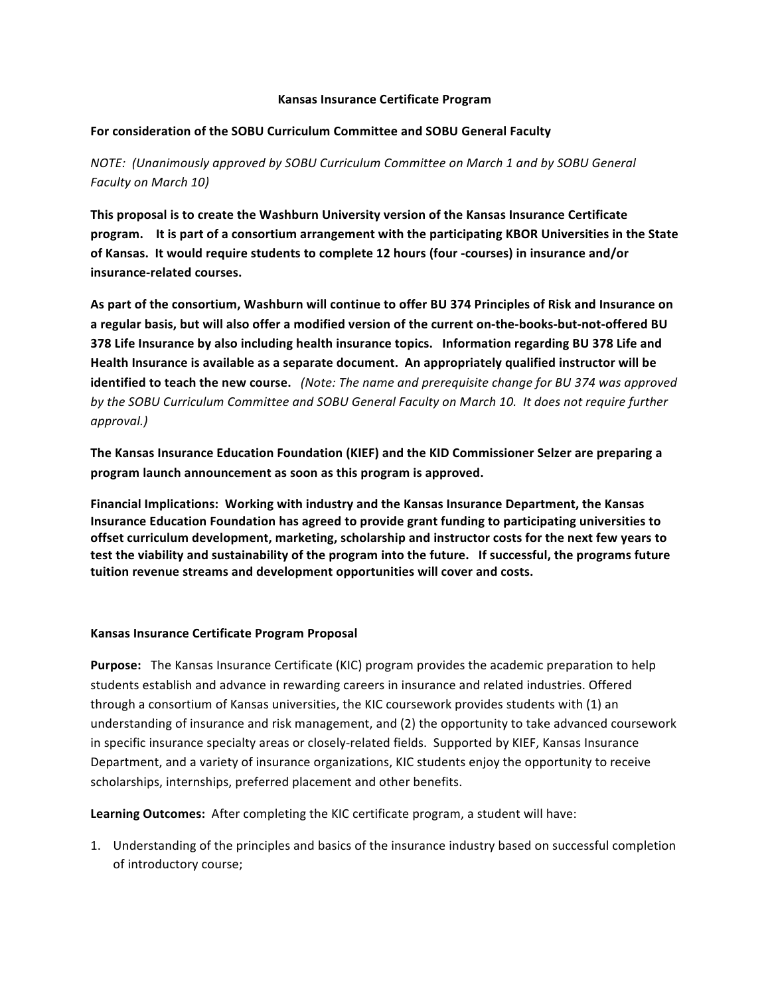#### **Kansas Insurance Certificate Program**

## For consideration of the SOBU Curriculum Committee and SOBU General Faculty

*NOTE: (Unanimously approved by SOBU Curriculum Committee on March 1 and by SOBU General Faculty on March 10)*

This proposal is to create the Washburn University version of the Kansas Insurance Certificate program. It is part of a consortium arrangement with the participating KBOR Universities in the State of Kansas. It would require students to complete 12 hours (four -courses) in insurance and/or insurance-related courses.

As part of the consortium, Washburn will continue to offer BU 374 Principles of Risk and Insurance on a regular basis, but will also offer a modified version of the current on-the-books-but-not-offered BU **378 Life Insurance by also including health insurance topics. Information regarding BU 378 Life and** Health Insurance is available as a separate document. An appropriately qualified instructor will be **identified to teach the new course.** (Note: The name and prerequisite change for BU 374 was approved by the SOBU Curriculum Committee and SOBU General Faculty on March 10. It does not require further *approval.)*

The Kansas Insurance Education Foundation (KIEF) and the KID Commissioner Selzer are preparing a **program launch announcement as soon as this program is approved.** 

Financial Implications: Working with industry and the Kansas Insurance Department, the Kansas **Insurance Education Foundation has agreed to provide grant funding to participating universities to** offset curriculum development, marketing, scholarship and instructor costs for the next few years to test the viability and sustainability of the program into the future. If successful, the programs future tuition revenue streams and development opportunities will cover and costs.

## **Kansas Insurance Certificate Program Proposal**

**Purpose:** The Kansas Insurance Certificate (KIC) program provides the academic preparation to help students establish and advance in rewarding careers in insurance and related industries. Offered through a consortium of Kansas universities, the KIC coursework provides students with (1) an understanding of insurance and risk management, and (2) the opportunity to take advanced coursework in specific insurance specialty areas or closely-related fields. Supported by KIEF, Kansas Insurance Department, and a variety of insurance organizations, KIC students enjoy the opportunity to receive scholarships, internships, preferred placement and other benefits.

Learning Outcomes: After completing the KIC certificate program, a student will have:

1. Understanding of the principles and basics of the insurance industry based on successful completion of introductory course;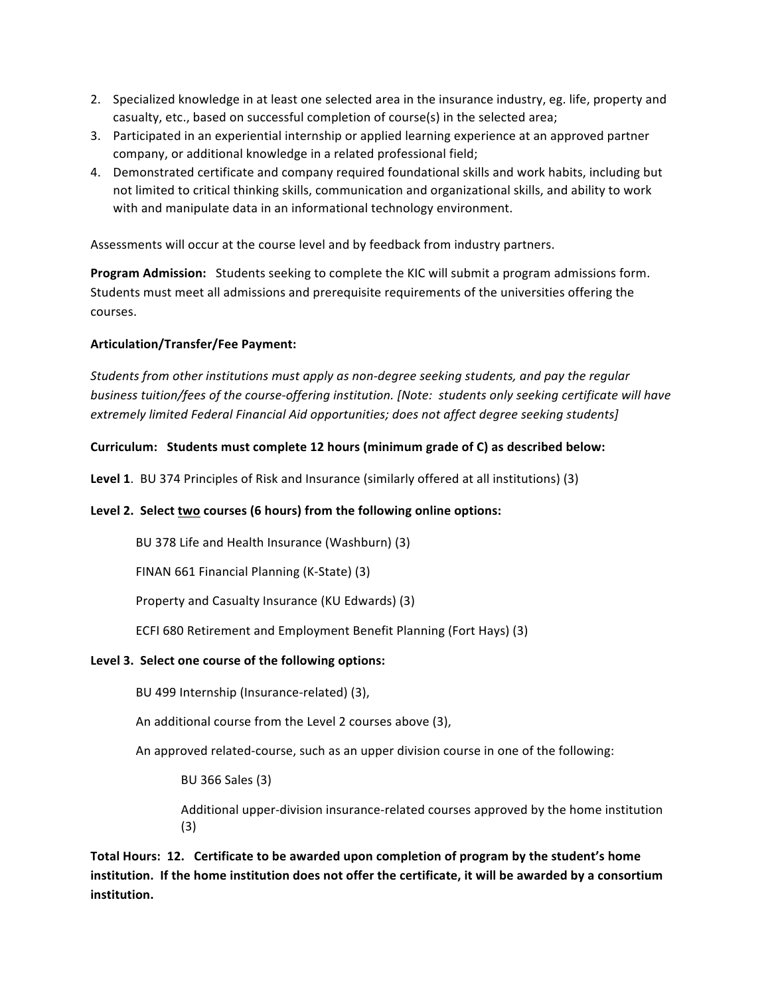- 2. Specialized knowledge in at least one selected area in the insurance industry, eg. life, property and casualty, etc., based on successful completion of course(s) in the selected area;
- 3. Participated in an experiential internship or applied learning experience at an approved partner company, or additional knowledge in a related professional field;
- 4. Demonstrated certificate and company required foundational skills and work habits, including but not limited to critical thinking skills, communication and organizational skills, and ability to work with and manipulate data in an informational technology environment.

Assessments will occur at the course level and by feedback from industry partners.

**Program Admission:** Students seeking to complete the KIC will submit a program admissions form. Students must meet all admissions and prerequisite requirements of the universities offering the courses.

## **Articulation/Transfer/Fee Payment:**

*Students from other institutions must apply as non-degree seeking students, and pay the regular business tuition/fees of the course-offering institution. [Note: students only seeking certificate will have extremely limited Federal Financial Aid opportunities; does not affect degree seeking students]* 

### Curriculum: Students must complete 12 hours (minimum grade of C) as described below:

**Level 1.** BU 374 Principles of Risk and Insurance (similarly offered at all institutions) (3)

## Level 2. Select two courses (6 hours) from the following online options:

BU 378 Life and Health Insurance (Washburn) (3)

FINAN 661 Financial Planning (K-State) (3)

Property and Casualty Insurance (KU Edwards) (3)

ECFI 680 Retirement and Employment Benefit Planning (Fort Hays) (3)

#### Level 3. Select one course of the following options:

BU 499 Internship (Insurance-related) (3),

An additional course from the Level 2 courses above (3),

An approved related-course, such as an upper division course in one of the following:

BU 366 Sales (3)

Additional upper-division insurance-related courses approved by the home institution (3)

Total Hours: 12. Certificate to be awarded upon completion of program by the student's home institution. If the home institution does not offer the certificate, it will be awarded by a consortium **institution.**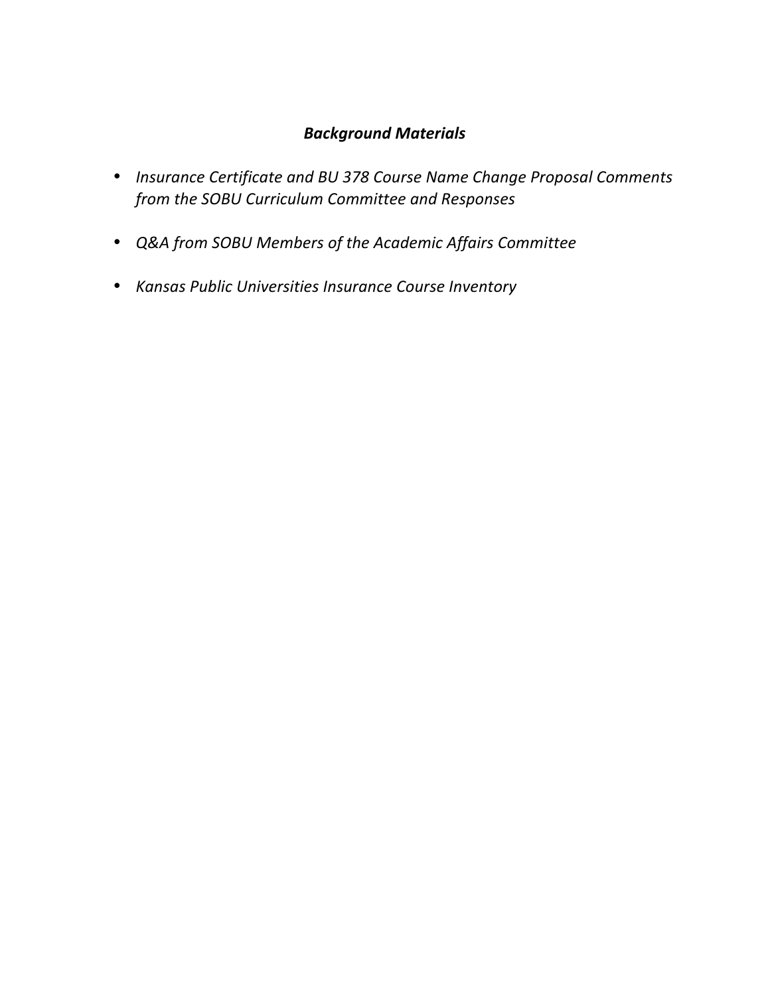## *Background Materials*

- Insurance Certificate and BU 378 Course Name Change Proposal Comments from the SOBU Curriculum Committee and Responses
- *Q&A from SOBU Members of the Academic Affairs Committee*
- *Kansas Public Universities Insurance Course Inventory*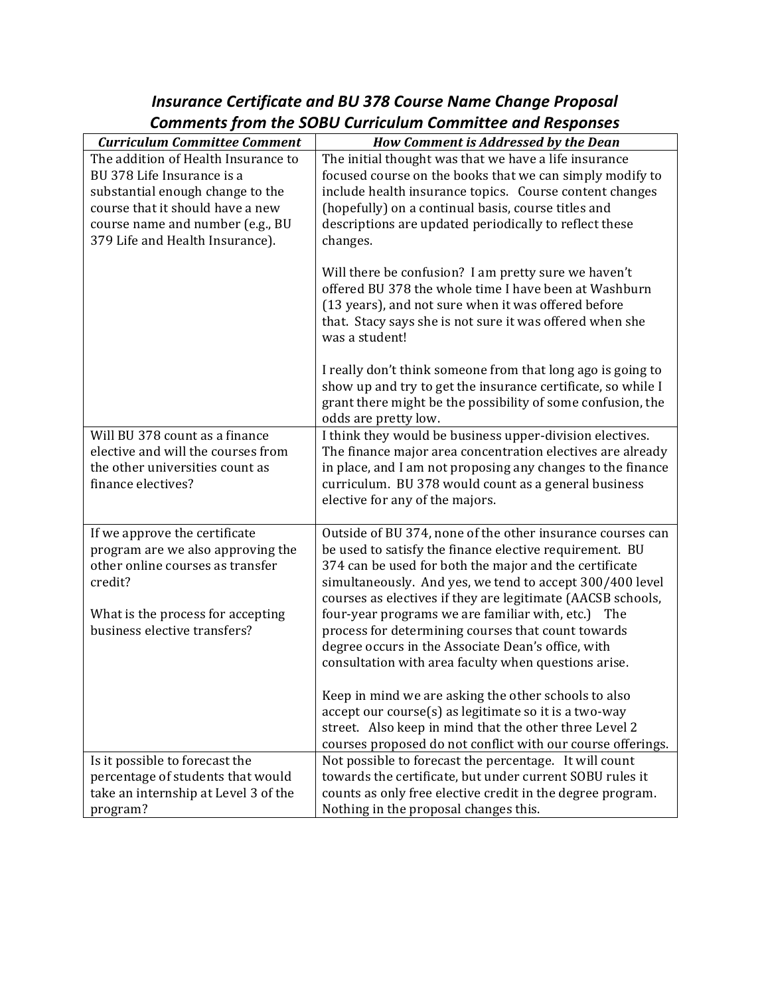# *Insurance Certificate and BU 378 Course Name Change Proposal* Comments from the SOBU Curriculum Committee and Responses

| <b>Curriculum Committee Comment</b>                                  | <b>How Comment is Addressed by the Dean</b>                                                                        |
|----------------------------------------------------------------------|--------------------------------------------------------------------------------------------------------------------|
| The addition of Health Insurance to                                  | The initial thought was that we have a life insurance                                                              |
| BU 378 Life Insurance is a                                           | focused course on the books that we can simply modify to                                                           |
| substantial enough change to the<br>course that it should have a new | include health insurance topics. Course content changes                                                            |
| course name and number (e.g., BU                                     | (hopefully) on a continual basis, course titles and<br>descriptions are updated periodically to reflect these      |
| 379 Life and Health Insurance).                                      | changes.                                                                                                           |
|                                                                      |                                                                                                                    |
|                                                                      | Will there be confusion? I am pretty sure we haven't                                                               |
|                                                                      | offered BU 378 the whole time I have been at Washburn                                                              |
|                                                                      | (13 years), and not sure when it was offered before                                                                |
|                                                                      | that. Stacy says she is not sure it was offered when she                                                           |
|                                                                      | was a student!                                                                                                     |
|                                                                      | I really don't think someone from that long ago is going to                                                        |
|                                                                      | show up and try to get the insurance certificate, so while I                                                       |
|                                                                      | grant there might be the possibility of some confusion, the                                                        |
|                                                                      | odds are pretty low.                                                                                               |
| Will BU 378 count as a finance                                       | I think they would be business upper-division electives.                                                           |
| elective and will the courses from                                   | The finance major area concentration electives are already                                                         |
| the other universities count as<br>finance electives?                | in place, and I am not proposing any changes to the finance                                                        |
|                                                                      | curriculum. BU 378 would count as a general business<br>elective for any of the majors.                            |
|                                                                      |                                                                                                                    |
| If we approve the certificate                                        | Outside of BU 374, none of the other insurance courses can                                                         |
| program are we also approving the                                    | be used to satisfy the finance elective requirement. BU                                                            |
| other online courses as transfer                                     | 374 can be used for both the major and the certificate                                                             |
| credit?                                                              | simultaneously. And yes, we tend to accept 300/400 level                                                           |
|                                                                      | courses as electives if they are legitimate (AACSB schools,                                                        |
| What is the process for accepting<br>business elective transfers?    | four-year programs we are familiar with, etc.) The<br>process for determining courses that count towards           |
|                                                                      | degree occurs in the Associate Dean's office, with                                                                 |
|                                                                      | consultation with area faculty when questions arise.                                                               |
|                                                                      |                                                                                                                    |
|                                                                      | Keep in mind we are asking the other schools to also                                                               |
|                                                                      | accept our course(s) as legitimate so it is a two-way                                                              |
|                                                                      | street. Also keep in mind that the other three Level 2                                                             |
|                                                                      | courses proposed do not conflict with our course offerings.                                                        |
| Is it possible to forecast the<br>percentage of students that would  | Not possible to forecast the percentage. It will count<br>towards the certificate, but under current SOBU rules it |
| take an internship at Level 3 of the                                 | counts as only free elective credit in the degree program.                                                         |
| program?                                                             | Nothing in the proposal changes this.                                                                              |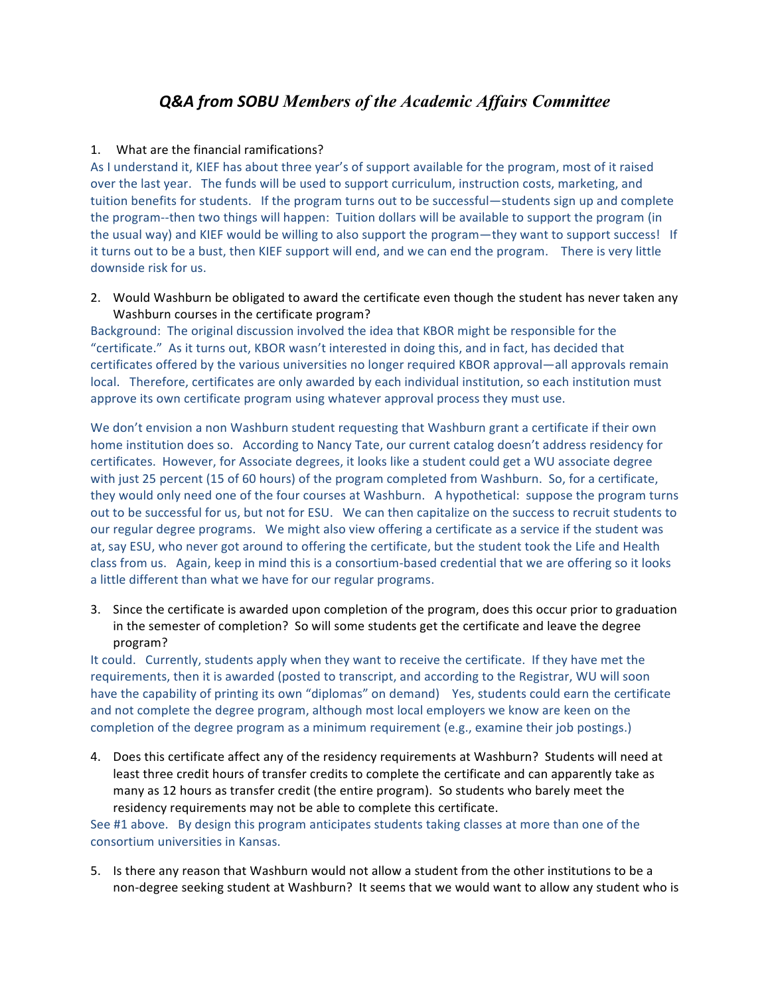## *Q&A from SOBU Members of the Academic Affairs Committee*

### 1. What are the financial ramifications?

As I understand it, KIEF has about three year's of support available for the program, most of it raised over the last year. The funds will be used to support curriculum, instruction costs, marketing, and tuition benefits for students. If the program turns out to be successful—students sign up and complete the program--then two things will happen: Tuition dollars will be available to support the program (in the usual way) and KIEF would be willing to also support the program—they want to support success! If it turns out to be a bust, then KIEF support will end, and we can end the program. There is very little downside risk for us.

2. Would Washburn be obligated to award the certificate even though the student has never taken any Washburn courses in the certificate program?

Background: The original discussion involved the idea that KBOR might be responsible for the "certificate." As it turns out, KBOR wasn't interested in doing this, and in fact, has decided that certificates offered by the various universities no longer required KBOR approval—all approvals remain local. Therefore, certificates are only awarded by each individual institution, so each institution must approve its own certificate program using whatever approval process they must use.

We don't envision a non Washburn student requesting that Washburn grant a certificate if their own home institution does so. According to Nancy Tate, our current catalog doesn't address residency for certificates. However, for Associate degrees, it looks like a student could get a WU associate degree with just 25 percent (15 of 60 hours) of the program completed from Washburn. So, for a certificate, they would only need one of the four courses at Washburn. A hypothetical: suppose the program turns out to be successful for us, but not for ESU. We can then capitalize on the success to recruit students to our regular degree programs. We might also view offering a certificate as a service if the student was at, say ESU, who never got around to offering the certificate, but the student took the Life and Health class from us. Again, keep in mind this is a consortium-based credential that we are offering so it looks a little different than what we have for our regular programs.

3. Since the certificate is awarded upon completion of the program, does this occur prior to graduation in the semester of completion? So will some students get the certificate and leave the degree program?

It could. Currently, students apply when they want to receive the certificate. If they have met the requirements, then it is awarded (posted to transcript, and according to the Registrar, WU will soon have the capability of printing its own "diplomas" on demand) Yes, students could earn the certificate and not complete the degree program, although most local employers we know are keen on the completion of the degree program as a minimum requirement (e.g., examine their job postings.)

4. Does this certificate affect any of the residency requirements at Washburn? Students will need at least three credit hours of transfer credits to complete the certificate and can apparently take as many as 12 hours as transfer credit (the entire program). So students who barely meet the residency requirements may not be able to complete this certificate.

See #1 above. By design this program anticipates students taking classes at more than one of the consortium universities in Kansas.

5. Is there any reason that Washburn would not allow a student from the other institutions to be a non-degree seeking student at Washburn? It seems that we would want to allow any student who is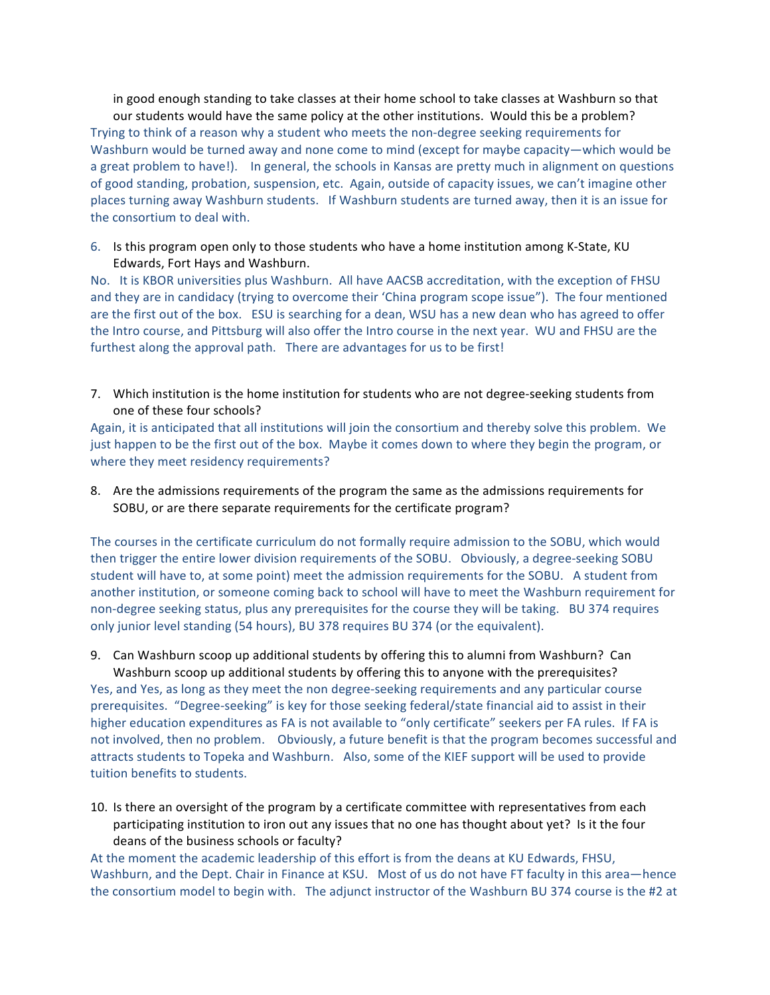in good enough standing to take classes at their home school to take classes at Washburn so that our students would have the same policy at the other institutions. Would this be a problem? Trying to think of a reason why a student who meets the non-degree seeking requirements for Washburn would be turned away and none come to mind (except for maybe capacity—which would be a great problem to have!). In general, the schools in Kansas are pretty much in alignment on questions of good standing, probation, suspension, etc. Again, outside of capacity issues, we can't imagine other places turning away Washburn students. If Washburn students are turned away, then it is an issue for the consortium to deal with.

6. Is this program open only to those students who have a home institution among K-State, KU Edwards, Fort Hays and Washburn.

No. It is KBOR universities plus Washburn. All have AACSB accreditation, with the exception of FHSU and they are in candidacy (trying to overcome their 'China program scope issue"). The four mentioned are the first out of the box. ESU is searching for a dean, WSU has a new dean who has agreed to offer the Intro course, and Pittsburg will also offer the Intro course in the next year. WU and FHSU are the furthest along the approval path. There are advantages for us to be first!

7. Which institution is the home institution for students who are not degree-seeking students from one of these four schools?

Again, it is anticipated that all institutions will join the consortium and thereby solve this problem. We just happen to be the first out of the box. Maybe it comes down to where they begin the program, or where they meet residency requirements?

8. Are the admissions requirements of the program the same as the admissions requirements for SOBU, or are there separate requirements for the certificate program?

The courses in the certificate curriculum do not formally require admission to the SOBU, which would then trigger the entire lower division requirements of the SOBU. Obviously, a degree-seeking SOBU student will have to, at some point) meet the admission requirements for the SOBU. A student from another institution, or someone coming back to school will have to meet the Washburn requirement for non-degree seeking status, plus any prerequisites for the course they will be taking. BU 374 requires only junior level standing (54 hours), BU 378 requires BU 374 (or the equivalent).

9. Can Washburn scoop up additional students by offering this to alumni from Washburn? Can

Washburn scoop up additional students by offering this to anyone with the prerequisites? Yes, and Yes, as long as they meet the non degree-seeking requirements and any particular course prerequisites. "Degree-seeking" is key for those seeking federal/state financial aid to assist in their higher education expenditures as FA is not available to "only certificate" seekers per FA rules. If FA is not involved, then no problem. Obviously, a future benefit is that the program becomes successful and attracts students to Topeka and Washburn. Also, some of the KIEF support will be used to provide tuition benefits to students.

10. Is there an oversight of the program by a certificate committee with representatives from each participating institution to iron out any issues that no one has thought about yet? Is it the four deans of the business schools or faculty?

At the moment the academic leadership of this effort is from the deans at KU Edwards, FHSU, Washburn, and the Dept. Chair in Finance at KSU. Most of us do not have FT faculty in this area—hence the consortium model to begin with. The adjunct instructor of the Washburn BU 374 course is the #2 at